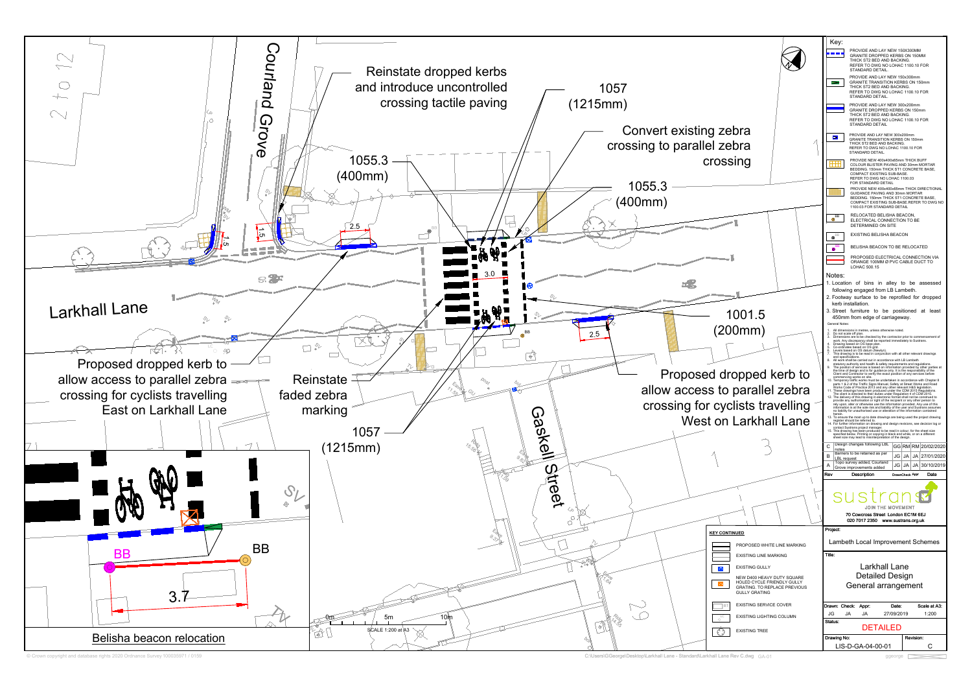| ebra<br>sıng                                                                                                                                     | Key:<br>--<br>Е<br>$^{\rm ++}$                                                                                                  | PROVIDE AND LAY NEW 150X300MM<br>GRANITE DROPPED KERBS ON 150MM<br>THICK ST2 BED AND BACKING.<br>REFER TO DWG NO LOHAC 1100.10 FOR<br>STANDARD DETAIL.<br>PROVIDE AND LAY NEW 150x300mm<br><b>GRANITE TRANSITION KERBS ON 150mm</b><br>THICK ST2 BED AND BACKING.<br>REFER TO DWG NO LOHAC 1100.10 FOR<br>STANDARD DETAIL.<br>PROVIDE AND LAY NEW 300x200mm<br>GRANITE DROPPED KERBS ON 150mm<br>THICK ST2 BED AND BACKING.<br>REFER TO DWG NO LOHAC 1100.10 FOR<br>STANDARD DETAIL<br>PROVIDE AND LAY NEW 300x200mm<br>GRANITE TRANSITION KERBS ON 150mm<br>THICK ST2 BED AND BACKING.<br>REFER TO DWG NO LOHAC 1100.10 FOR<br>STANDARD DETAIL.<br>PROVIDE NEW 400x400x65mm THICK BUFF<br>COLOUR BLISTER PAVING AND 30mm MORTAR<br>BEDDING. 150mm THICK ST1 CONCRETE BASE,<br>COMPACT EXISTING SUB-BASE.                                                                                                                                                                                                                                                                                                                                                                                                                                                                                                                                                                                                                                                                                                                                                                                                                                                                                                                                                                                                                                                                                                                                                                                                                                                                                                                                                                                                                                                                                                                                                                                                                                                                                                    |                                                                                                 |
|--------------------------------------------------------------------------------------------------------------------------------------------------|---------------------------------------------------------------------------------------------------------------------------------|--------------------------------------------------------------------------------------------------------------------------------------------------------------------------------------------------------------------------------------------------------------------------------------------------------------------------------------------------------------------------------------------------------------------------------------------------------------------------------------------------------------------------------------------------------------------------------------------------------------------------------------------------------------------------------------------------------------------------------------------------------------------------------------------------------------------------------------------------------------------------------------------------------------------------------------------------------------------------------------------------------------------------------------------------------------------------------------------------------------------------------------------------------------------------------------------------------------------------------------------------------------------------------------------------------------------------------------------------------------------------------------------------------------------------------------------------------------------------------------------------------------------------------------------------------------------------------------------------------------------------------------------------------------------------------------------------------------------------------------------------------------------------------------------------------------------------------------------------------------------------------------------------------------------------------------------------------------------------------------------------------------------------------------------------------------------------------------------------------------------------------------------------------------------------------------------------------------------------------------------------------------------------------------------------------------------------------------------------------------------------------------------------------------------------------------------------------------------------------------------------------------|-------------------------------------------------------------------------------------------------|
|                                                                                                                                                  | $e^{BB}$                                                                                                                        | REFER TO DWG NO LOHAC 1100.03<br>FOR STANDARD DETAIL<br>PROVIDE NEW 400x400x65mm THICK DIRECTIONAL<br>GUIDANCE PAVING AND 30mm MORTAR<br>BEDDING. 150mm THICK ST1 CONCRETE BASE.<br>COMPACT EXISTING SUB-BASE.REFER TO DWG NO<br>1100.03 FOR STANDARD DETAIL<br>RELOCATED BELISHA BEACON,<br>ELECTRICAL CONNECTION TO BE<br>DETERMINED ON SITE                                                                                                                                                                                                                                                                                                                                                                                                                                                                                                                                                                                                                                                                                                                                                                                                                                                                                                                                                                                                                                                                                                                                                                                                                                                                                                                                                                                                                                                                                                                                                                                                                                                                                                                                                                                                                                                                                                                                                                                                                                                                                                                                                               |                                                                                                 |
|                                                                                                                                                  | <b>BB</b><br>◉                                                                                                                  | EXISTING BELISHA BEACON                                                                                                                                                                                                                                                                                                                                                                                                                                                                                                                                                                                                                                                                                                                                                                                                                                                                                                                                                                                                                                                                                                                                                                                                                                                                                                                                                                                                                                                                                                                                                                                                                                                                                                                                                                                                                                                                                                                                                                                                                                                                                                                                                                                                                                                                                                                                                                                                                                                                                      |                                                                                                 |
|                                                                                                                                                  | 6<br>Notes:                                                                                                                     | BELISHA BEACON TO BE RELOCATED<br>PROPOSED ELECTRICAL CONNECTION VIA<br>ORANGE 100MM Ø PVC CABLE DUCT TO<br>LOHAC 500.15                                                                                                                                                                                                                                                                                                                                                                                                                                                                                                                                                                                                                                                                                                                                                                                                                                                                                                                                                                                                                                                                                                                                                                                                                                                                                                                                                                                                                                                                                                                                                                                                                                                                                                                                                                                                                                                                                                                                                                                                                                                                                                                                                                                                                                                                                                                                                                                     |                                                                                                 |
| 1001.5<br>00mm)<br>ropped kerb to<br>parallel zebra<br>clists travelling<br>n Larkhall Lane                                                      | General Notes:<br>5.<br>and specifications.<br>12 <sup>12</sup><br>herein.<br>С<br>notes<br>в<br><b>LBL</b> request<br>Α<br>Rev | 1. Location of bins in alley to be assessed<br>following engaged from LB Lambeth.<br>2. Footway surface to be reprofiled for dropped<br>kerb installation.<br>3. Street furniture to be positioned at least<br>450mm from edge of carriageway.<br>All dimensions in metres, unless otherwise noted.<br>Do not scale off plan.<br>Dimensions are to be checked by the contractor prior to commencement of<br>work. Any discrepancy shall be reported immediately to Sustrans.<br>Drawing based on OS base plan.<br>Co-ordinates based on OS grid.<br>Levels based on OS datum (Newlyn).<br>This drawing is to be read in conjunction with all other relevant drawings<br>All work shall be carried out in accordance with LB Lambeth<br>statutory authority and health & safety requirements and regulations.<br>The position of services is based on information provided by other parties at<br>the time of design and is for guidance only. It is the responsibility of the Client and Contractor to verify the exact position of any services before<br>commencing works on site.<br>10. Temporary traffic works must be undertaken in accordance with Chapter 8<br>parts 1 & 2 of the Traffic Signs Manual, Safety at Site Works and Road<br>Works Code of Practice 2013 and any other relevant H&S legislation.<br>11. These drawings have been produced under the CDM 2015 Regulations.<br>The client is directed to their duties under Regulation 4 of CDM 2015.<br>The delivery of this drawing in electronic format shall not be construed to provide any authorisation or right of the recipient or any other person to<br>rely upon, alter or otherwise use the information provided. Any use of this<br>information is at the sole risk and liability of the user and Sustrans assumes<br>no liability for unauthorised use or alteration of the information contained<br>13. To ensure the most up to date drawings are being used the project drawing<br>register should be referred to.<br>14. For further information on drawing and design revisions, see decision log or<br>contact Sustrans project manager.<br>15. This drawing has been produced to be read in colour, for the sheet size<br>specified below. Printing or copying in black and white, or on a different sheet size may lead to misinterpretation of the design.<br>Design changes following LBL<br>Barriers to be retained as per<br>JG<br>Topo survey added, Courland<br>JG<br>Grove improvements added<br>Description | GG RM RM 20/02/2020<br>JA<br>JA 27/01/2020<br>JA<br>JA<br>30/10/2019<br>Date<br>DrawnCheck Appr |
|                                                                                                                                                  |                                                                                                                                 |                                                                                                                                                                                                                                                                                                                                                                                                                                                                                                                                                                                                                                                                                                                                                                                                                                                                                                                                                                                                                                                                                                                                                                                                                                                                                                                                                                                                                                                                                                                                                                                                                                                                                                                                                                                                                                                                                                                                                                                                                                                                                                                                                                                                                                                                                                                                                                                                                                                                                                              |                                                                                                 |
|                                                                                                                                                  | JOIN THE MOVEMENT<br>70 Cowcross Street London EC1M 6EJ                                                                         |                                                                                                                                                                                                                                                                                                                                                                                                                                                                                                                                                                                                                                                                                                                                                                                                                                                                                                                                                                                                                                                                                                                                                                                                                                                                                                                                                                                                                                                                                                                                                                                                                                                                                                                                                                                                                                                                                                                                                                                                                                                                                                                                                                                                                                                                                                                                                                                                                                                                                                              |                                                                                                 |
|                                                                                                                                                  | Project:                                                                                                                        | 020 7017 2350 www.sustrans.org.uk                                                                                                                                                                                                                                                                                                                                                                                                                                                                                                                                                                                                                                                                                                                                                                                                                                                                                                                                                                                                                                                                                                                                                                                                                                                                                                                                                                                                                                                                                                                                                                                                                                                                                                                                                                                                                                                                                                                                                                                                                                                                                                                                                                                                                                                                                                                                                                                                                                                                            |                                                                                                 |
| NT <u>INUED</u>                                                                                                                                  | Lambeth Local Improvement Schemes                                                                                               |                                                                                                                                                                                                                                                                                                                                                                                                                                                                                                                                                                                                                                                                                                                                                                                                                                                                                                                                                                                                                                                                                                                                                                                                                                                                                                                                                                                                                                                                                                                                                                                                                                                                                                                                                                                                                                                                                                                                                                                                                                                                                                                                                                                                                                                                                                                                                                                                                                                                                                              |                                                                                                 |
| PROPOSED WHITE LINE MARKING<br><b>EXISTING LINE MARKING</b>                                                                                      | Title:                                                                                                                          |                                                                                                                                                                                                                                                                                                                                                                                                                                                                                                                                                                                                                                                                                                                                                                                                                                                                                                                                                                                                                                                                                                                                                                                                                                                                                                                                                                                                                                                                                                                                                                                                                                                                                                                                                                                                                                                                                                                                                                                                                                                                                                                                                                                                                                                                                                                                                                                                                                                                                                              |                                                                                                 |
| <b>EXISTING GULLY</b><br>NEW D400 HEAVY DUTY SQUARE<br>HOLED CYCLE FRIENDLY GULLY<br><b>GRATING. TO REPLACE PREVIOUS</b><br><b>GULLY GRATING</b> | Larkhall Lane<br><b>Detailed Design</b><br>General arrangement                                                                  |                                                                                                                                                                                                                                                                                                                                                                                                                                                                                                                                                                                                                                                                                                                                                                                                                                                                                                                                                                                                                                                                                                                                                                                                                                                                                                                                                                                                                                                                                                                                                                                                                                                                                                                                                                                                                                                                                                                                                                                                                                                                                                                                                                                                                                                                                                                                                                                                                                                                                                              |                                                                                                 |
| <b>EXISTING SERVICE COVER</b>                                                                                                                    | JG                                                                                                                              | Drawn: Check: Appr:<br>Date:<br>JA                                                                                                                                                                                                                                                                                                                                                                                                                                                                                                                                                                                                                                                                                                                                                                                                                                                                                                                                                                                                                                                                                                                                                                                                                                                                                                                                                                                                                                                                                                                                                                                                                                                                                                                                                                                                                                                                                                                                                                                                                                                                                                                                                                                                                                                                                                                                                                                                                                                                           | Scale at A3:<br>1:200                                                                           |
| EXISTING LIGHTING COLUMN                                                                                                                         | 27/09/2019<br>JA<br>Status:                                                                                                     |                                                                                                                                                                                                                                                                                                                                                                                                                                                                                                                                                                                                                                                                                                                                                                                                                                                                                                                                                                                                                                                                                                                                                                                                                                                                                                                                                                                                                                                                                                                                                                                                                                                                                                                                                                                                                                                                                                                                                                                                                                                                                                                                                                                                                                                                                                                                                                                                                                                                                                              |                                                                                                 |
| <b>EXISTING TREE</b>                                                                                                                             | Drawing No:                                                                                                                     | <b>DETAILED</b>                                                                                                                                                                                                                                                                                                                                                                                                                                                                                                                                                                                                                                                                                                                                                                                                                                                                                                                                                                                                                                                                                                                                                                                                                                                                                                                                                                                                                                                                                                                                                                                                                                                                                                                                                                                                                                                                                                                                                                                                                                                                                                                                                                                                                                                                                                                                                                                                                                                                                              | Revision:                                                                                       |
|                                                                                                                                                  |                                                                                                                                 | LIS-D-GA-04-00-01                                                                                                                                                                                                                                                                                                                                                                                                                                                                                                                                                                                                                                                                                                                                                                                                                                                                                                                                                                                                                                                                                                                                                                                                                                                                                                                                                                                                                                                                                                                                                                                                                                                                                                                                                                                                                                                                                                                                                                                                                                                                                                                                                                                                                                                                                                                                                                                                                                                                                            | С                                                                                               |

GA-01 ggeorge **strategies and the set of the set of the set of the set of the set of the set of the set of the set of the set of the set of the set of the set of the set of the set of the set of the set of the set of the s** 



© Crown copyright and database rights 2020 Ordnance Survey 100035971 / 0159

C:\Users\GGeorge\Desktop\Larkhall Lane - Standard\Larkhall Lane Rev C.dwg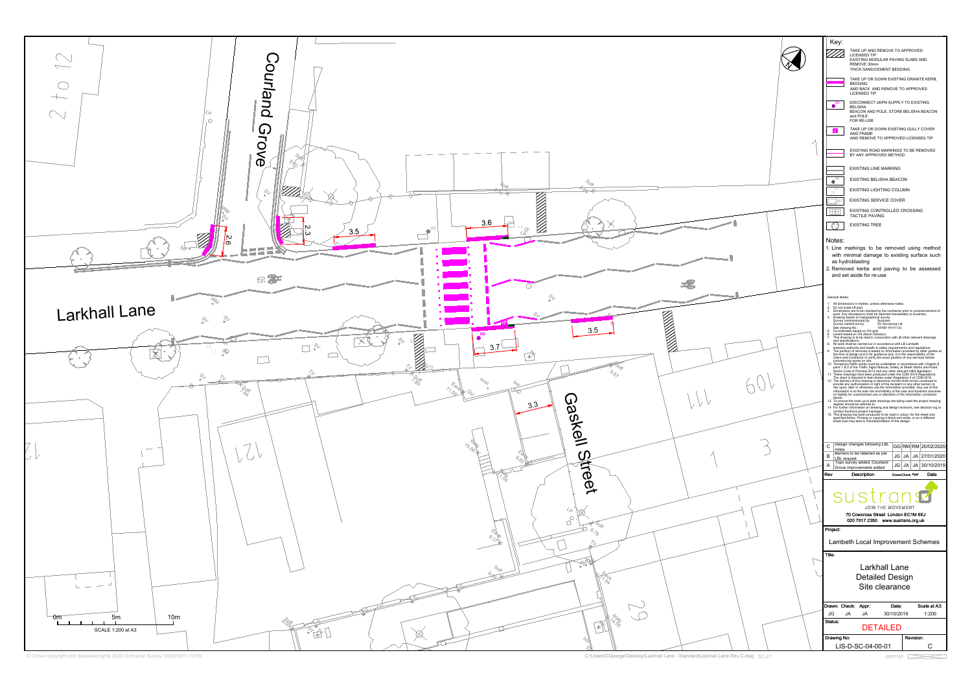

 $SC-01$  ggeorge  $\Box$